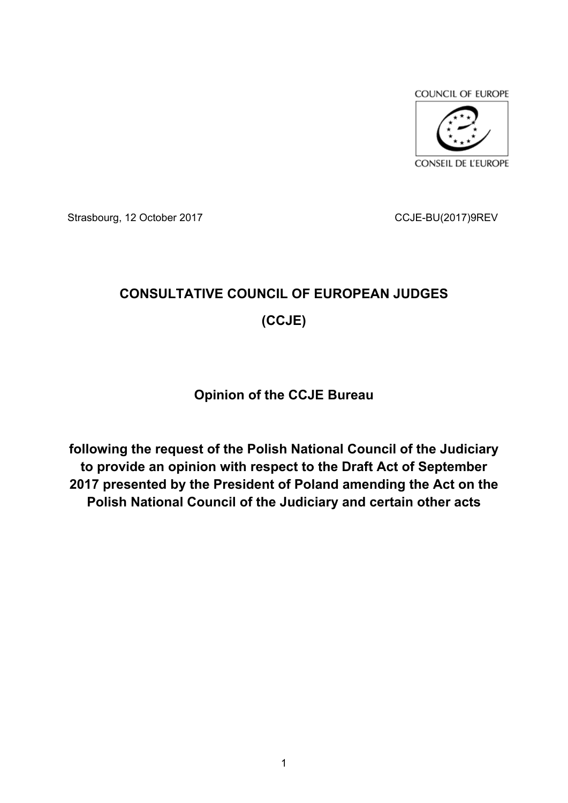

Strasbourg, 12 October 2017 CCJE-BU(2017) 9REV

# **CONSULTATIVE COUNCIL OF EUROPEAN JUDGES**

# **(CCJE)**

# **Opinion of the CCJE Bureau**

**following the request of the Polish National Council of the Judiciary to provide an opinion with respect to the Draft Act of September 2017 presented by the President of Poland amending the Act on the Polish National Council of the Judiciary and certain other acts**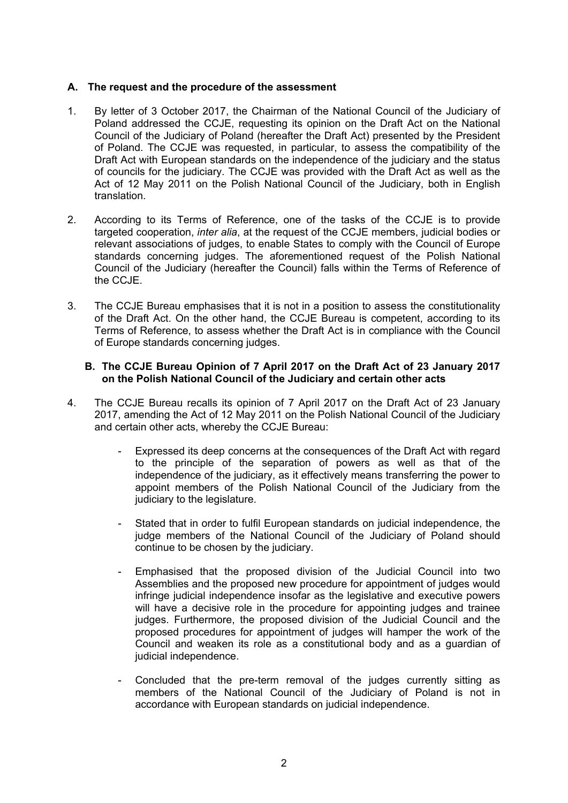# **A. The request and the procedure of the assessment**

- 1. By letter of 3 October 2017, the Chairman of the National Council of the Judiciary of Poland addressed the CCJE, requesting its opinion on the Draft Act on the National Council of the Judiciary of Poland (hereafter the Draft Act) presented by the President of Poland. The CCJE was requested, in particular, to assess the compatibility of the Draft Act with European standards on the independence of the judiciary and the status of councils for the judiciary. The CCJE was provided with the Draft Act as well as the Act of 12 May 2011 on the Polish National Council of the Judiciary, both in English translation.
- 2. According to its Terms of Reference, one of the tasks of the CCJE is to provide targeted cooperation, *inter alia*, at the request of the CCJE members, judicial bodies or relevant associations of judges, to enable States to comply with the Council of Europe standards concerning judges. The aforementioned request of the Polish National Council of the Judiciary (hereafter the Council) falls within the Terms of Reference of the CCJE.
- 3. The CCJE Bureau emphasises that it is not in a position to assess the constitutionality of the Draft Act. On the other hand, the CCJE Bureau is competent, according to its Terms of Reference, to assess whether the Draft Act is in compliance with the Council of Europe standards concerning judges.

#### **B. The CCJE Bureau Opinion of 7 April 2017 on the Draft Act of 23 January 2017 on the Polish National Council of the Judiciary and certain other acts**

- 4. The CCJE Bureau recalls its opinion of 7 April 2017 on the Draft Act of 23 January 2017, amending the Act of 12 May 2011 on the Polish National Council of the Judiciary and certain other acts, whereby the CCJE Bureau:
	- Expressed its deep concerns at the consequences of the Draft Act with regard to the principle of the separation of powers as well as that of the independence of the judiciary, as it effectively means transferring the power to appoint members of the Polish National Council of the Judiciary from the judiciary to the legislature.
	- Stated that in order to fulfil European standards on judicial independence, the judge members of the National Council of the Judiciary of Poland should continue to be chosen by the judiciary.
	- Emphasised that the proposed division of the Judicial Council into two Assemblies and the proposed new procedure for appointment of judges would infringe judicial independence insofar as the legislative and executive powers will have a decisive role in the procedure for appointing judges and trainee judges. Furthermore, the proposed division of the Judicial Council and the proposed procedures for appointment of judges will hamper the work of the Council and weaken its role as a constitutional body and as a guardian of judicial independence.
	- Concluded that the pre-term removal of the judges currently sitting as members of the National Council of the Judiciary of Poland is not in accordance with European standards on judicial independence.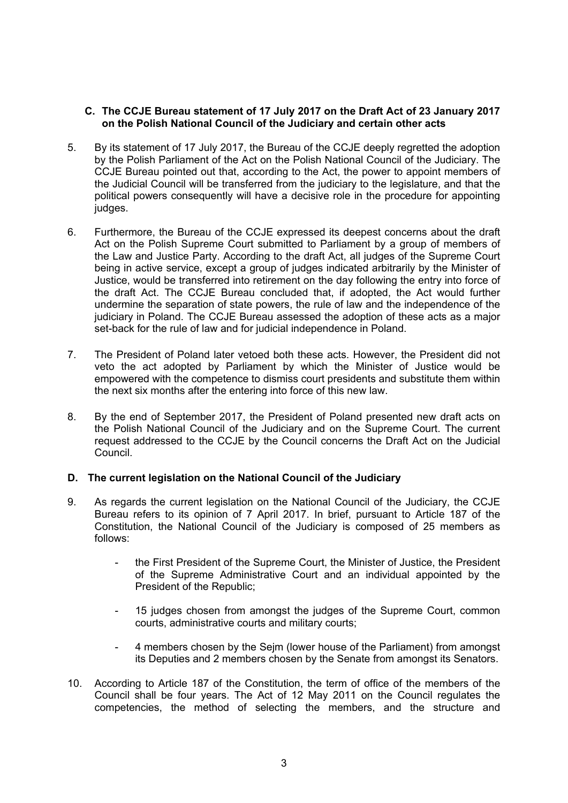# **C. The CCJE Bureau statement of 17 July 2017 on the Draft Act of 23 January 2017 on the Polish National Council of the Judiciary and certain other acts**

- 5. By its statement of 17 July 2017, the Bureau of the CCJE deeply regretted the adoption by the Polish Parliament of the Act on the Polish National Council of the Judiciary. The CCJE Bureau pointed out that, according to the Act, the power to appoint members of the Judicial Council will be transferred from the judiciary to the legislature, and that the political powers consequently will have a decisive role in the procedure for appointing judges.
- 6. Furthermore, the Bureau of the CCJE expressed its deepest concerns about the draft Act on the Polish Supreme Court submitted to Parliament by a group of members of the Law and Justice Party. According to the draft Act, all judges of the Supreme Court being in active service, except a group of judges indicated arbitrarily by the Minister of Justice, would be transferred into retirement on the day following the entry into force of the draft Act. The CCJE Bureau concluded that, if adopted, the Act would further undermine the separation of state powers, the rule of law and the independence of the judiciary in Poland. The CCJE Bureau assessed the adoption of these acts as a major set-back for the rule of law and for judicial independence in Poland.
- 7. The President of Poland later vetoed both these acts. However, the President did not veto the act adopted by Parliament by which the Minister of Justice would be empowered with the competence to dismiss court presidents and substitute them within the next six months after the entering into force of this new law.
- 8. By the end of September 2017, the President of Poland presented new draft acts on the Polish National Council of the Judiciary and on the Supreme Court. The current request addressed to the CCJE by the Council concerns the Draft Act on the Judicial Council.

# **D. The current legislation on the National Council of the Judiciary**

- 9. As regards the current legislation on the National Council of the Judiciary, the CCJE Bureau refers to its opinion of 7 April 2017. In brief, pursuant to Article 187 of the Constitution, the National Council of the Judiciary is composed of 25 members as follows:
	- the First President of the Supreme Court, the Minister of Justice, the President of the Supreme Administrative Court and an individual appointed by the President of the Republic;
	- 15 judges chosen from amongst the judges of the Supreme Court, common courts, administrative courts and military courts;
	- 4 members chosen by the Seim (lower house of the Parliament) from amongst its Deputies and 2 members chosen by the Senate from amongst its Senators.
- 10. According to Article 187 of the Constitution, the term of office of the members of the Council shall be four years. The Act of 12 May 2011 on the Council regulates the competencies, the method of selecting the members, and the structure and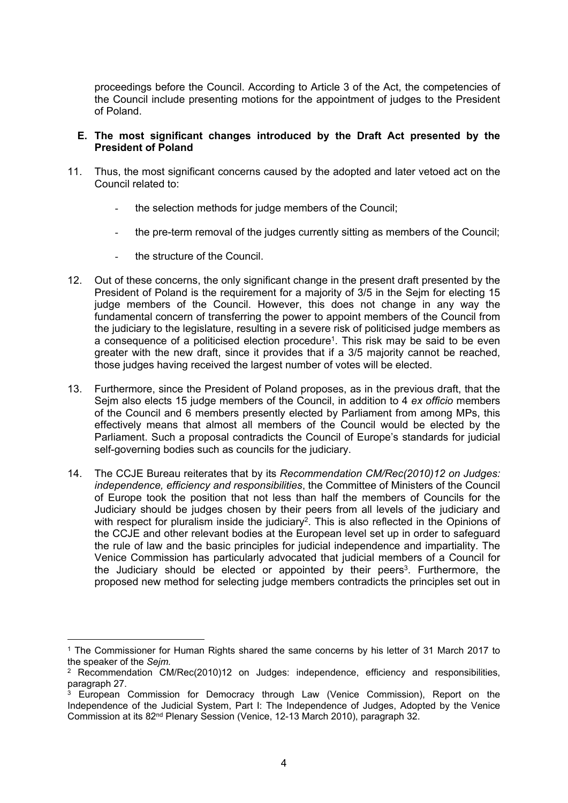proceedings before the Council. According to Article 3 of the Act, the competencies of the Council include presenting motions for the appointment of judges to the President of Poland.

# **E. The most significant changes introduced by the Draft Act presented by the President of Poland**

- 11. Thus, the most significant concerns caused by the adopted and later vetoed act on the Council related to:
	- the selection methods for judge members of the Council;
	- the pre-term removal of the judges currently sitting as members of the Council;
	- the structure of the Council.
- 12. Out of these concerns, the only significant change in the present draft presented by the President of Poland is the requirement for a majority of 3/5 in the Sejm for electing 15 judge members of the Council. However, this does not change in any way the fundamental concern of transferring the power to appoint members of the Council from the judiciary to the legislature, resulting in a severe risk of politicised judge members as a consequence of a politicised election procedure<sup>1</sup>. This risk may be said to be even greater with the new draft, since it provides that if a 3/5 majority cannot be reached, those judges having received the largest number of votes will be elected.
- 13. Furthermore, since the President of Poland proposes, as in the previous draft, that the Sejm also elects 15 judge members of the Council, in addition to 4 *ex officio* members of the Council and 6 members presently elected by Parliament from among MPs, this effectively means that almost all members of the Council would be elected by the Parliament. Such a proposal contradicts the Council of Europe's standards for judicial self-governing bodies such as councils for the judiciary.
- 14. The CCJE Bureau reiterates that by its *Recommendation CM/Rec(2010)12 on Judges: independence, efficiency and responsibilities*, the Committee of Ministers of the Council of Europe took the position that not less than half the members of Councils for the Judiciary should be judges chosen by their peers from all levels of the judiciary and with respect for pluralism inside the judiciary<sup>2</sup>. This is also reflected in the Opinions of the CCJE and other relevant bodies at the European level set up in order to safeguard the rule of law and the basic principles for judicial independence and impartiality. The Venice Commission has particularly advocated that judicial members of a Council for the Judiciary should be elected or appointed by their peers<sup>3</sup>. Furthermore, the proposed new method for selecting judge members contradicts the principles set out in

<sup>1</sup> The Commissioner for Human Rights shared the same concerns by his letter of 31 March 2017 to the speaker of the *Sejm.*

<sup>&</sup>lt;sup>2</sup> Recommendation CM/Rec(2010)12 on Judges: independence, efficiency and responsibilities, paragraph 27.

<sup>3</sup> European Commission for Democracy through Law (Venice Commission), Report on the Independence of the Judicial System, Part I: The Independence of Judges, Adopted by the Venice Commission at its 82nd Plenary Session (Venice, 12-13 March 2010), paragraph 32.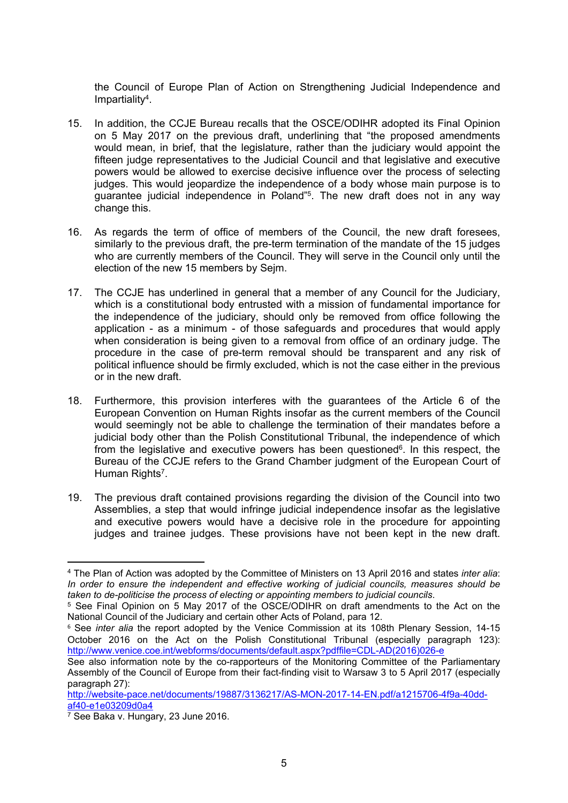the Council of Europe Plan of Action on Strengthening Judicial Independence and Impartiality<sup>4</sup> .

- 15. In addition, the CCJE Bureau recalls that the OSCE/ODIHR adopted its Final Opinion on 5 May 2017 on the previous draft, underlining that "the proposed amendments would mean, in brief, that the legislature, rather than the judiciary would appoint the fifteen judge representatives to the Judicial Council and that legislative and executive powers would be allowed to exercise decisive influence over the process of selecting judges. This would jeopardize the independence of a body whose main purpose is to guarantee judicial independence in Poland"<sup>5</sup> . The new draft does not in any way change this.
- 16. As regards the term of office of members of the Council, the new draft foresees, similarly to the previous draft, the pre-term termination of the mandate of the 15 judges who are currently members of the Council. They will serve in the Council only until the election of the new 15 members by Sejm.
- 17. The CCJE has underlined in general that a member of any Council for the Judiciary, which is a constitutional body entrusted with a mission of fundamental importance for the independence of the judiciary, should only be removed from office following the application - as a minimum - of those safeguards and procedures that would apply when consideration is being given to a removal from office of an ordinary judge. The procedure in the case of pre-term removal should be transparent and any risk of political influence should be firmly excluded, which is not the case either in the previous or in the new draft.
- 18. Furthermore, this provision interferes with the guarantees of the Article 6 of the European Convention on Human Rights insofar as the current members of the Council would seemingly not be able to challenge the termination of their mandates before a judicial body other than the Polish Constitutional Tribunal, the independence of which from the legislative and executive powers has been questioned<sup>6</sup>. In this respect, the Bureau of the CCJE refers to the Grand Chamber judgment of the European Court of Human Rights<sup>7</sup>.
- 19. The previous draft contained provisions regarding the division of the Council into two Assemblies, a step that would infringe judicial independence insofar as the legislative and executive powers would have a decisive role in the procedure for appointing judges and trainee judges. These provisions have not been kept in the new draft.

<sup>4</sup> The Plan of Action was adopted by the Committee of Ministers on 13 April 2016 and states *inter alia*: *In order to ensure the independent and effective working of judicial councils, measures should be taken to de-politicise the process of electing or appointing members to judicial councils*.

<sup>5</sup> See Final Opinion on 5 May 2017 of the OSCE/ODIHR on draft amendments to the Act on the National Council of the Judiciary and certain other Acts of Poland, para 12.

<sup>&</sup>lt;sup>6</sup> See *inter alia* the report adopted by the Venice Commission at its 108th Plenary Session, 14-15 October 2016 on the Act on the Polish Constitutional Tribunal (especially paragraph 123): [http://www.venice.coe.int/webforms/documents/default.aspx?pdffile=CDL-AD\(2016\)026-e](http://www.venice.coe.int/webforms/documents/default.aspx?pdffile=CDL-AD(2016)026-e)

See also information note by the co-rapporteurs of the Monitoring Committee of the Parliamentary Assembly of the Council of Europe from their fact-finding visit to Warsaw 3 to 5 April 2017 (especially paragraph 27):

[http://website-pace.net/documents/19887/3136217/AS-MON-2017-14-EN.pdf/a1215706-4f9a-40dd](http://website-pace.net/documents/19887/3136217/AS-MON-2017-14-EN.pdf/a1215706-4f9a-40dd-af40-e1e03209d0a4)[af40-e1e03209d0a4](http://website-pace.net/documents/19887/3136217/AS-MON-2017-14-EN.pdf/a1215706-4f9a-40dd-af40-e1e03209d0a4)

<sup>7</sup> See Baka v. Hungary, 23 June 2016.